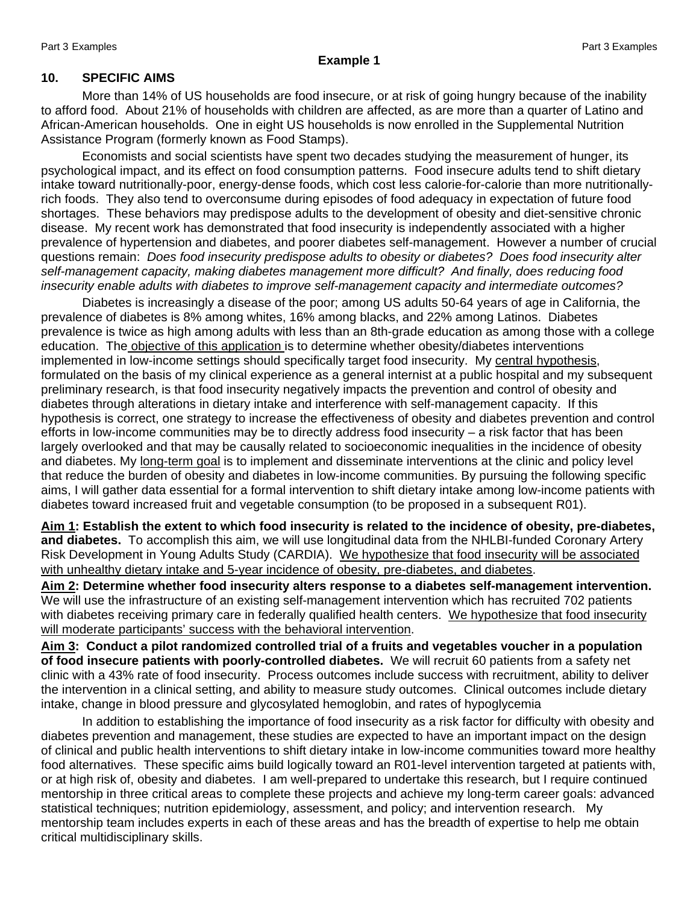#### **10. SPECIFIC AIMS**

More than 14% of US households are food insecure, or at risk of going hungry because of the inability to afford food. About 21% of households with children are affected, as are more than a quarter of Latino and African-American households. One in eight US households is now enrolled in the Supplemental Nutrition Assistance Program (formerly known as Food Stamps).

Economists and social scientists have spent two decades studying the measurement of hunger, its psychological impact, and its effect on food consumption patterns. Food insecure adults tend to shift dietary intake toward nutritionally-poor, energy-dense foods, which cost less calorie-for-calorie than more nutritionallyrich foods. They also tend to overconsume during episodes of food adequacy in expectation of future food shortages. These behaviors may predispose adults to the development of obesity and diet-sensitive chronic disease. My recent work has demonstrated that food insecurity is independently associated with a higher prevalence of hypertension and diabetes, and poorer diabetes self-management. However a number of crucial questions remain: *Does food insecurity predispose adults to obesity or diabetes? Does food insecurity alter self-management capacity, making diabetes management more difficult? And finally, does reducing food insecurity enable adults with diabetes to improve self-management capacity and intermediate outcomes?* 

Diabetes is increasingly a disease of the poor; among US adults 50-64 years of age in California, the prevalence of diabetes is 8% among whites, 16% among blacks, and 22% among Latinos. Diabetes prevalence is twice as high among adults with less than an 8th-grade education as among those with a college education. The objective of this application is to determine whether obesity/diabetes interventions implemented in low-income settings should specifically target food insecurity. My central hypothesis, formulated on the basis of my clinical experience as a general internist at a public hospital and my subsequent preliminary research, is that food insecurity negatively impacts the prevention and control of obesity and diabetes through alterations in dietary intake and interference with self-management capacity. If this hypothesis is correct, one strategy to increase the effectiveness of obesity and diabetes prevention and control efforts in low-income communities may be to directly address food insecurity – a risk factor that has been largely overlooked and that may be causally related to socioeconomic inequalities in the incidence of obesity and diabetes. My long-term goal is to implement and disseminate interventions at the clinic and policy level that reduce the burden of obesity and diabetes in low-income communities. By pursuing the following specific aims, I will gather data essential for a formal intervention to shift dietary intake among low-income patients with diabetes toward increased fruit and vegetable consumption (to be proposed in a subsequent R01).

**Aim 1: Establish the extent to which food insecurity is related to the incidence of obesity, pre-diabetes, and diabetes.** To accomplish this aim, we will use longitudinal data from the NHLBI-funded Coronary Artery Risk Development in Young Adults Study (CARDIA). We hypothesize that food insecurity will be associated with unhealthy dietary intake and 5-year incidence of obesity, pre-diabetes, and diabetes.

**Aim 2: Determine whether food insecurity alters response to a diabetes self-management intervention.**  We will use the infrastructure of an existing self-management intervention which has recruited 702 patients with diabetes receiving primary care in federally qualified health centers. We hypothesize that food insecurity will moderate participants' success with the behavioral intervention.

**Aim 3: Conduct a pilot randomized controlled trial of a fruits and vegetables voucher in a population of food insecure patients with poorly-controlled diabetes.** We will recruit 60 patients from a safety net clinic with a 43% rate of food insecurity. Process outcomes include success with recruitment, ability to deliver the intervention in a clinical setting, and ability to measure study outcomes. Clinical outcomes include dietary intake, change in blood pressure and glycosylated hemoglobin, and rates of hypoglycemia

In addition to establishing the importance of food insecurity as a risk factor for difficulty with obesity and diabetes prevention and management, these studies are expected to have an important impact on the design of clinical and public health interventions to shift dietary intake in low-income communities toward more healthy food alternatives. These specific aims build logically toward an R01-level intervention targeted at patients with, or at high risk of, obesity and diabetes. I am well-prepared to undertake this research, but I require continued mentorship in three critical areas to complete these projects and achieve my long-term career goals: advanced statistical techniques; nutrition epidemiology, assessment, and policy; and intervention research. My mentorship team includes experts in each of these areas and has the breadth of expertise to help me obtain critical multidisciplinary skills.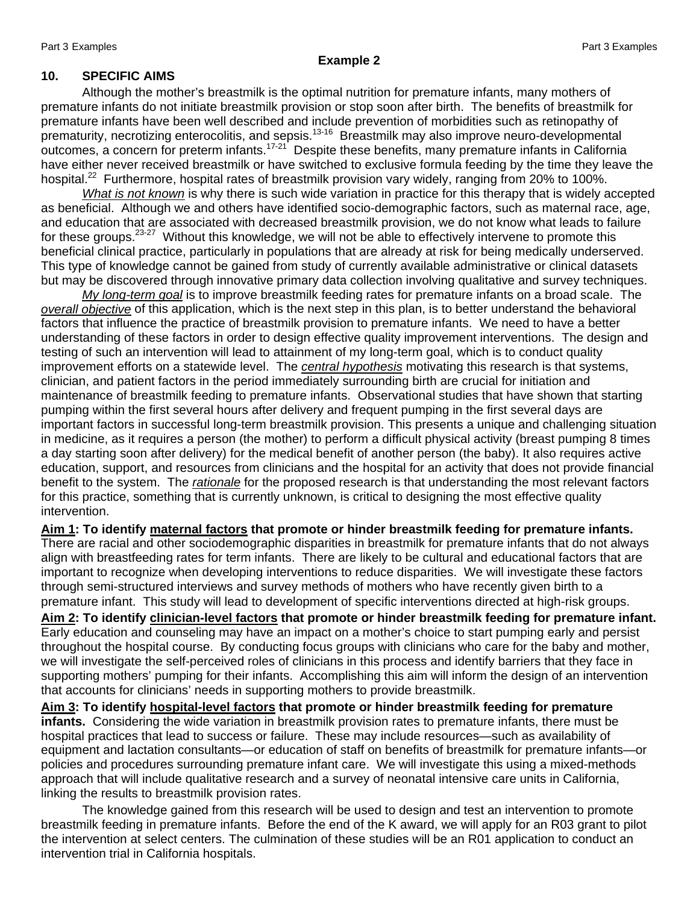## **Example 2**

#### **10. SPECIFIC AIMS**

Although the mother's breastmilk is the optimal nutrition for premature infants, many mothers of premature infants do not initiate breastmilk provision or stop soon after birth. The benefits of breastmilk for premature infants have been well described and include prevention of morbidities such as retinopathy of prematurity, necrotizing enterocolitis, and sepsis.<sup>13-16</sup> Breastmilk may also improve neuro-developmental outcomes, a concern for preterm infants.17-21 Despite these benefits, many premature infants in California have either never received breastmilk or have switched to exclusive formula feeding by the time they leave the hospital.<sup>22</sup> Furthermore, hospital rates of breastmilk provision vary widely, ranging from 20% to 100%.

*What is not known* is why there is such wide variation in practice for this therapy that is widely accepted as beneficial. Although we and others have identified socio-demographic factors, such as maternal race, age, and education that are associated with decreased breastmilk provision, we do not know what leads to failure for these groups.<sup>23-27</sup> Without this knowledge, we will not be able to effectively intervene to promote this beneficial clinical practice, particularly in populations that are already at risk for being medically underserved. This type of knowledge cannot be gained from study of currently available administrative or clinical datasets but may be discovered through innovative primary data collection involving qualitative and survey techniques.

*My long-term goal* is to improve breastmilk feeding rates for premature infants on a broad scale. The *overall objective* of this application, which is the next step in this plan, is to better understand the behavioral factors that influence the practice of breastmilk provision to premature infants. We need to have a better understanding of these factors in order to design effective quality improvement interventions. The design and testing of such an intervention will lead to attainment of my long-term goal, which is to conduct quality improvement efforts on a statewide level. The *central hypothesis* motivating this research is that systems, clinician, and patient factors in the period immediately surrounding birth are crucial for initiation and maintenance of breastmilk feeding to premature infants. Observational studies that have shown that starting pumping within the first several hours after delivery and frequent pumping in the first several days are important factors in successful long-term breastmilk provision. This presents a unique and challenging situation in medicine, as it requires a person (the mother) to perform a difficult physical activity (breast pumping 8 times a day starting soon after delivery) for the medical benefit of another person (the baby). It also requires active education, support, and resources from clinicians and the hospital for an activity that does not provide financial benefit to the system. The *rationale* for the proposed research is that understanding the most relevant factors for this practice, something that is currently unknown, is critical to designing the most effective quality intervention.

**Aim 1: To identify maternal factors that promote or hinder breastmilk feeding for premature infants.**  There are racial and other sociodemographic disparities in breastmilk for premature infants that do not always align with breastfeeding rates for term infants. There are likely to be cultural and educational factors that are important to recognize when developing interventions to reduce disparities. We will investigate these factors through semi-structured interviews and survey methods of mothers who have recently given birth to a premature infant. This study will lead to development of specific interventions directed at high-risk groups.

**Aim 2: To identify clinician-level factors that promote or hinder breastmilk feeding for premature infant.**  Early education and counseling may have an impact on a mother's choice to start pumping early and persist throughout the hospital course. By conducting focus groups with clinicians who care for the baby and mother, we will investigate the self-perceived roles of clinicians in this process and identify barriers that they face in supporting mothers' pumping for their infants. Accomplishing this aim will inform the design of an intervention that accounts for clinicians' needs in supporting mothers to provide breastmilk.

**Aim 3: To identify hospital-level factors that promote or hinder breastmilk feeding for premature infants.** Considering the wide variation in breastmilk provision rates to premature infants, there must be hospital practices that lead to success or failure. These may include resources—such as availability of equipment and lactation consultants—or education of staff on benefits of breastmilk for premature infants—or policies and procedures surrounding premature infant care. We will investigate this using a mixed-methods approach that will include qualitative research and a survey of neonatal intensive care units in California, linking the results to breastmilk provision rates.

 The knowledge gained from this research will be used to design and test an intervention to promote breastmilk feeding in premature infants. Before the end of the K award, we will apply for an R03 grant to pilot the intervention at select centers. The culmination of these studies will be an R01 application to conduct an intervention trial in California hospitals.